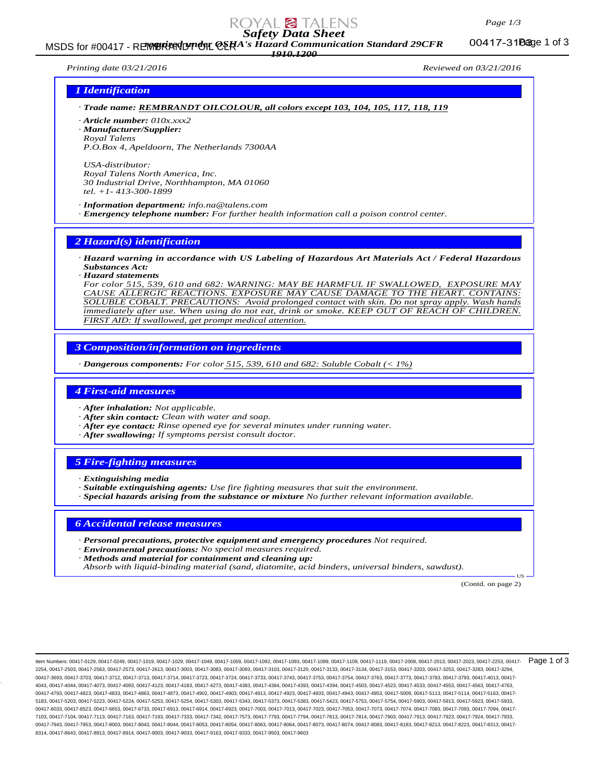# *Safety Data Sheet*

MSDS for #00417 - REMBRANDT CHA's Hazard Communication Standard 29CFR 00417-31Dage 1 of 3 *1910.1200*

00417-310age 1 of 3

*Printing date 03/21/2016 Reviewed on 03/21/2016*

## *1 Identification*

*· Trade name: REMBRANDT OILCOLOUR, all colors except 103, 104, 105, 117, 118, 119*

*· Article number: 010x.xxx2*

*· Manufacturer/Supplier: Royal Talens P.O.Box 4, Apeldoorn, The Netherlands 7300AA*

*USA-distributor: Royal Talens North America, Inc. 30 Industrial Drive, Northhampton, MA 01060 tel. +1- 413-300-1899*

*· Information department: info.na@talens.com · Emergency telephone number: For further health information call a poison control center.*

*2 Hazard(s) identification*

*· Hazard warning in accordance with US Labeling of Hazardous Art Materials Act / Federal Hazardous Substances Act:*

*· Hazard statements*

*For color 515, 539, 610 and 682: WARNING: MAY BE HARMFUL IF SWALLOWED, EXPOSURE MAY CAUSE ALLERGIC REACTIONS. EXPOSURE MAY CAUSE DAMAGE TO THE HEART. CONTAINS: SOLUBLE COBALT. PRECAUTIONS: Avoid prolonged contact with skin. Do not spray apply. Wash hands immediately after use. When using do not eat, drink or smoke. KEEP OUT OF REACH OF CHILDREN. FIRST AID: If swallowed, get prompt medical attention.*

*3 Composition/information on ingredients*

*· Dangerous components: For color 515, 539, 610 and 682: Soluble Cobalt (< 1%)*

### *4 First-aid measures*

*· After inhalation: Not applicable.*

- *· After skin contact: Clean with water and soap.*
- *· After eye contact: Rinse opened eye for several minutes under running water.*
- *· After swallowing: If symptoms persist consult doctor.*

## *5 Fire-fighting measures*

- *· Extinguishing media*
- *· Suitable extinguishing agents: Use fire fighting measures that suit the environment.*
- *· Special hazards arising from the substance or mixture No further relevant information available.*

## *6 Accidental release measures*

- *· Personal precautions, protective equipment and emergency procedures Not required.*
- *· Environmental precautions: No special measures required.*
- *· Methods and material for containment and cleaning up:*

*Absorb with liquid-binding material (sand, diatomite, acid binders, universal binders, sawdust).*

(Contd. on page 2)

US

ltem Numbers: 00417-0129, 00417-0249, 00417-1019, 00417-1029, 00417-1049, 00417-1059, 00417-1092, 00417-1093, 00417-1109, 00417-1119, 00417-1019, 00417-2013, 00417-2023, 00417-2253, 00417-2013, 00417-2013, 00417-2023, 0041 2254, 00417-2503, 00417-2563, 00417-2573, 00417-2613, 00417-3003, 00417-3083, 00417-3093, 00417-3103, 00417-3120, 00417-3133, 00417-3134, 00417-3153, 00417-3203, 00417-3253, 00417-3283, 00417-3294, 00417-3693, 00417-3703, 00417-3712, 00417-3713, 00417-3714, 00417-3723, 00417-3733, 00417-374, 00417-3753, 00417-3754, 00417-3763, 00417-3753, 00417-3783, 00417-3783, 00417-3783, 00417-3783, 00417-3783, 00417-3783, 00417-37 4043, 00417-4044, 00417-4073, 00417-4093, 00417-4123, 00417-4183, 00417-4273, 00417-4383, 00417-4384, 00417-4393, 00417-4394, 00417-4503, 00417-4523, 00417-4533, 00417-4553, 00417-4563, 00417-4763, 00417-4793, 00417-4823, 00417-4833, 00417-4863, 00417-4873, 00417-4902, 00417-4903, 00417-4913, 00417-4923, 00417-4933, 00417-4943, 00417-4953, 00417-5009, 00417-5113, 00417-5114, 00417-5163, 00417- 5183, 00417-5203, 00417-5223, 00417-5224, 00417-5253, 00417-5254, 00417-5303, 00417-5343, 00417-5373, 00417-5383, 00417-5423, 00417-5753, 00417-5754, 00417-5903, 00417-5913, 00417-5923, 00417-5933, 00417-6033, 00417-6523, 00417-6653, 00417-6733, 00417-6913, 00417-6914, 00417-6923, 00417-703, 00417-7013, 00417-7023, 00417-7033, 00417-7033, 00417-7034, 00417-7039, 00417-703, 00417-7074, 00417-7083, 00417-7083, 00417-703 7103, 00417-7104, 00417-7113, 00417-7163, 00417-7193, 00417-7333, 00417-7342, 00417-7573, 00417-7793, 00417-7794, 00417-7813, 00417-7814, 00417-7903, 00417-7913, 00417-7923, 00417-7924, 00417-7933, 00417-7943, 00417-7953, 00417-8003, 00417-8043, 00417-8044, 00417-8054, 00417-8064, 00417-8064, 00417-8073, 00417-8074, 00417-8083, 00417-8083, 00417-8183, 00417-8223, 00417-8223, 00417-8313, 00417-8313, 00417-8313, 00417-8 8314, 00417-8643, 00417-8913, 00417-8914, 00417-9003, 00417-9033, 00417-9163, 00417-9333, 00417-9503, 00417-9603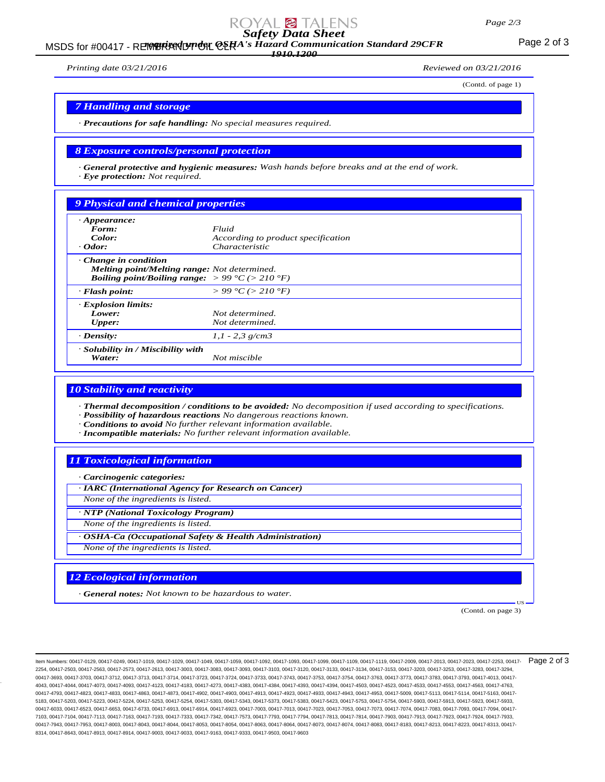## *Page 2/3*

# *Safety Data Sheet*

MSDS for #00417 - REMBRANDT ON CERA's Hazard Communication Standard 29CFR<br>MSDS for #00417 - REMBRANDT ON CERA's Hazard Communication Standard 29CFR *1910.1200*

*Printing date 03/21/2016 Reviewed on 03/21/2016*

(Contd. of page 1)

## *7 Handling and storage*

*· Precautions for safe handling: No special measures required.*

## *8 Exposure controls/personal protection*

*· General protective and hygienic measures: Wash hands before breaks and at the end of work. · Eye protection: Not required.*

## *9 Physical and chemical properties*

| $\cdot$ Appearance:<br>Form:<br>Color:<br>$\cdot$ Odor:                                                                                                   | Fluid<br>According to product specification<br>Characteristic |
|-----------------------------------------------------------------------------------------------------------------------------------------------------------|---------------------------------------------------------------|
| $\cdot$ Change in condition<br>Melting point/Melting range: Not determined.<br><b>Boiling point/Boiling range:</b> $> 99 \degree C$ ( $> 210 \degree F$ ) |                                                               |
| $\cdot$ Flash point:                                                                                                                                      | $> 99 \degree C$ ( $> 210 \degree F$ )                        |
| <b>Explosion limits:</b><br>Lower:<br><b>Upper:</b>                                                                                                       | Not determined.<br>Not determined.                            |
| $\cdot$ Density:                                                                                                                                          | $1,1 - 2,3$ g/cm3                                             |
| · Solubility in / Miscibility with<br>Water:                                                                                                              | Not miscible                                                  |

## *10 Stability and reactivity*

*· Thermal decomposition / conditions to be avoided: No decomposition if used according to specifications. · Possibility of hazardous reactions No dangerous reactions known.*

*· Conditions to avoid No further relevant information available.*

*· Incompatible materials: No further relevant information available.*

## *11 Toxicological information*

*· Carcinogenic categories:*

*· IARC (International Agency for Research on Cancer) None of the ingredients is listed.*

*· NTP (National Toxicology Program)*

*None of the ingredients is listed.*

*· OSHA-Ca (Occupational Safety & Health Administration) None of the ingredients is listed.*

## *12 Ecological information*

*· General notes: Not known to be hazardous to water.*

(Contd. on page 3)

US

ltem Numbers: 00417-0129, 00417-0249, 00417-1019, 00417-1029, 00417-1049, 00417-1059, 00417-1092, 00417-1093, 00417-1109, 00417-1119, 00417-1009, 00417-2003, 00417-2013, 00417-2023, 00417-2253, 00417-2018, 00417-2023, 0041 2254, 00417-2503, 00417-2563, 00417-2573, 00417-2613, 00417-3003, 00417-3083, 00417-3093, 00417-3103, 00417-3120, 00417-3133, 00417-3134, 00417-3153, 00417-3203, 00417-3253, 00417-3283, 00417-3294, 00417-3693, 00417-3703, 00417-3712, 00417-3713, 00417-3714, 00417-3723, 00417-3733, 00417-3743, 00417-3753, 00417-3754, 00417-3763, 00417-3773, 00417-3783, 00417-3783, 00417-3783, 00417-3783, 00417-3783, 00417-3783, 00417-3 4043, 00417-4044, 00417-4073, 00417-4093, 00417-4123, 00417-4183, 00417-4273, 00417-4383, 00417-4384, 00417-4393, 00417-4394, 00417-4503, 00417-4523, 00417-4533, 00417-4553, 00417-4563, 00417-4763, 00417-4793, 00417-4823, 00417-4833, 00417-4863, 00417-4873, 00417-4902, 00417-4903, 00417-4913, 00417-4923, 00417-4933, 00417-4943, 00417-4953, 00417-5009, 00417-5113, 00417-5114, 00417-5163, 00417- 5183, 00417-5203, 00417-5223, 00417-5224, 00417-5253, 00417-5254, 00417-5303, 00417-5343, 00417-5373, 00417-5383, 00417-5423, 00417-5753, 00417-5754, 00417-5903, 00417-5913, 00417-5923, 00417-5933, 00417-6033, 00417-6523, 00417-6653, 00417-6733, 00417-6913, 00417-6914, 00417-6923, 00417-703, 00417-7013, 00417-7023, 00417-7033, 00417-7033, 00417-7034, 00417-7039, 00417-703, 00417-7074, 00417-7083, 00417-7083, 00417-703 7103, 00417-7104, 00417-7113, 00417-7163, 00417-7193, 00417-7333, 00417-7342, 00417-7573, 00417-7793, 00417-7794, 00417-7813, 00417-7814, 00417-7903, 00417-7913, 00417-7923, 00417-7924, 00417-7933, 00417-7943, 00417-7953, 00417-8003, 00417-8043, 00417-8044, 00417-8053, 00417-8054, 00417-8063, 00417-8064, 00417-8073, 00417-8074, 00417-8083, 00417-8183, 00417-8183, 00417-8213, 00417-8223, 00417-8313, 00417-8313, 00417-8 8314, 00417-8643, 00417-8913, 00417-8914, 00417-9003, 00417-9033, 00417-9163, 00417-9333, 00417-9503, 00417-9603